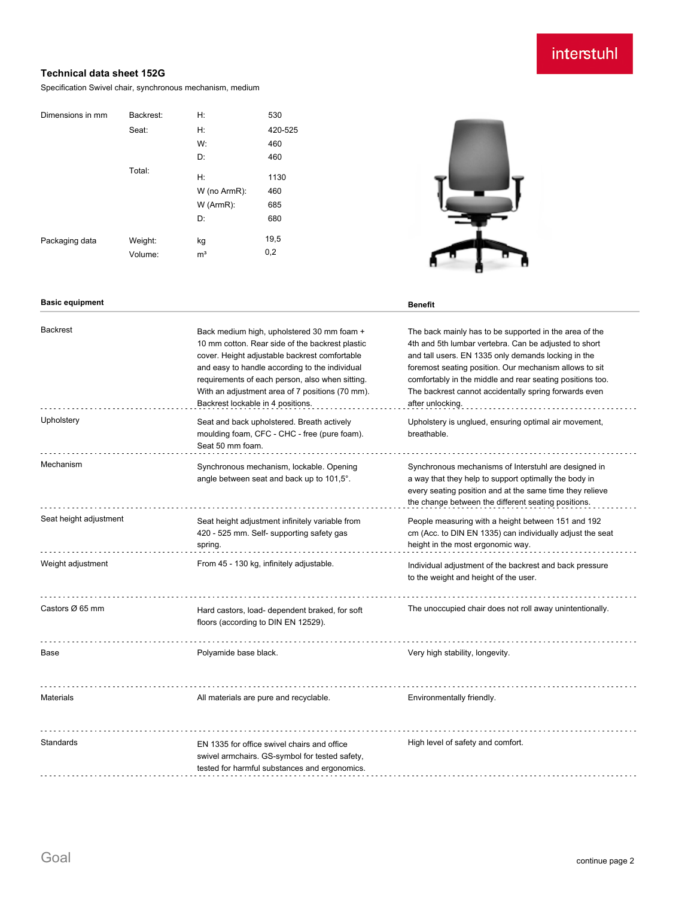# interstuhl

## **Technical data sheet 152G**

Specification Swivel chair, synchronous mechanism, medium

| Dimensions in mm | Backrest: | Н:             | 530     |
|------------------|-----------|----------------|---------|
|                  | Seat:     | Н:             | 420-525 |
|                  |           | W:             | 460     |
|                  |           | D:             | 460     |
|                  | Total:    | Н:             | 1130    |
|                  |           | W (no ArmR):   | 460     |
|                  |           | W (ArmR):      | 685     |
|                  |           | D:             | 680     |
| Packaging data   | Weight:   | kg             | 19,5    |
|                  | Volume:   | m <sup>3</sup> | 0,2     |

## **Basic equipment Benefit**

| <b>Backrest</b>        | Back medium high, upholstered 30 mm foam +<br>10 mm cotton. Rear side of the backrest plastic<br>cover. Height adjustable backrest comfortable<br>and easy to handle according to the individual<br>requirements of each person, also when sitting.<br>With an adjustment area of 7 positions (70 mm).<br>Backrest lockable in 4 positions. | The back mainly has to be supported in the area of the<br>4th and 5th lumbar vertebra. Can be adjusted to short<br>and tall users. EN 1335 only demands locking in the<br>foremost seating position. Our mechanism allows to sit<br>comfortably in the middle and rear seating positions too.<br>The backrest cannot accidentally spring forwards even<br>after unlocking. |
|------------------------|---------------------------------------------------------------------------------------------------------------------------------------------------------------------------------------------------------------------------------------------------------------------------------------------------------------------------------------------|----------------------------------------------------------------------------------------------------------------------------------------------------------------------------------------------------------------------------------------------------------------------------------------------------------------------------------------------------------------------------|
| Upholstery             | Seat and back upholstered. Breath actively<br>moulding foam, CFC - CHC - free (pure foam).<br>Seat 50 mm foam.                                                                                                                                                                                                                              | Upholstery is unglued, ensuring optimal air movement,<br>breathable.                                                                                                                                                                                                                                                                                                       |
| Mechanism              | Synchronous mechanism, lockable. Opening<br>angle between seat and back up to 101,5°.                                                                                                                                                                                                                                                       | Synchronous mechanisms of Interstuhl are designed in<br>a way that they help to support optimally the body in<br>every seating position and at the same time they relieve<br>the change between the different seating positions.                                                                                                                                           |
| Seat height adjustment | Seat height adjustment infinitely variable from<br>420 - 525 mm. Self- supporting safety gas<br>spring.                                                                                                                                                                                                                                     | People measuring with a height between 151 and 192<br>cm (Acc. to DIN EN 1335) can individually adjust the seat<br>height in the most ergonomic way.                                                                                                                                                                                                                       |
| Weight adjustment      | From 45 - 130 kg, infinitely adjustable.                                                                                                                                                                                                                                                                                                    | Individual adjustment of the backrest and back pressure<br>to the weight and height of the user.                                                                                                                                                                                                                                                                           |
| Castors Ø 65 mm        | Hard castors, load- dependent braked, for soft<br>floors (according to DIN EN 12529).                                                                                                                                                                                                                                                       | The unoccupied chair does not roll away unintentionally.                                                                                                                                                                                                                                                                                                                   |
| Base                   | Polyamide base black.                                                                                                                                                                                                                                                                                                                       | Very high stability, longevity.                                                                                                                                                                                                                                                                                                                                            |
| <b>Materials</b>       | All materials are pure and recyclable.                                                                                                                                                                                                                                                                                                      | Environmentally friendly.                                                                                                                                                                                                                                                                                                                                                  |
| Standards              | EN 1335 for office swivel chairs and office<br>swivel armchairs. GS-symbol for tested safety,<br>tested for harmful substances and ergonomics.                                                                                                                                                                                              | High level of safety and comfort.                                                                                                                                                                                                                                                                                                                                          |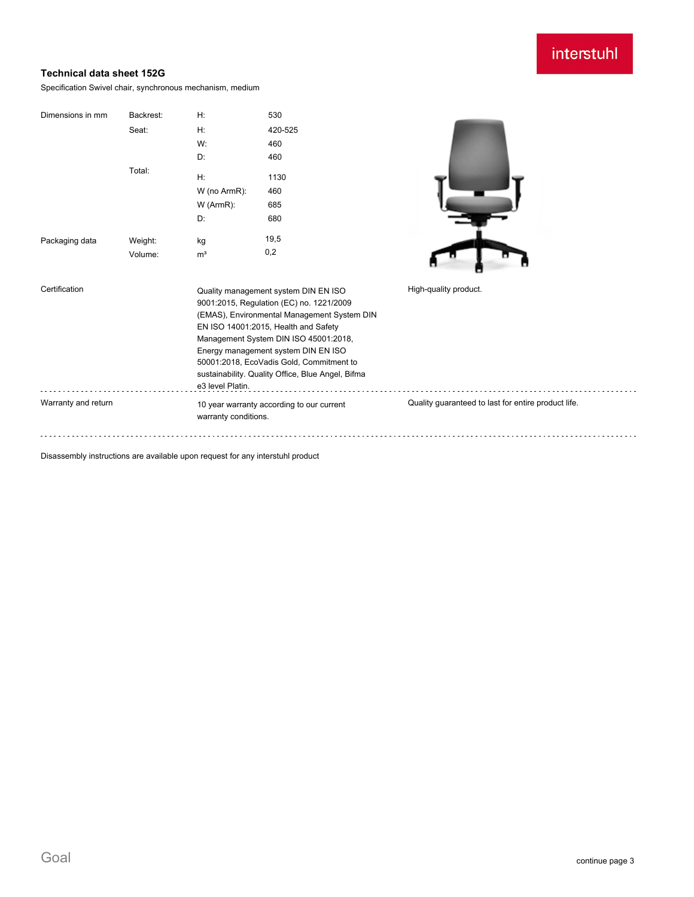# interstuhl

## **Technical data sheet 152G**

Specification Swivel chair, synchronous mechanism, medium

| Dimensions in mm    | Backrest: | H:                              | 530                                                                           |                                                     |
|---------------------|-----------|---------------------------------|-------------------------------------------------------------------------------|-----------------------------------------------------|
|                     | Seat:     | H:                              | 420-525                                                                       |                                                     |
|                     |           | W:                              | 460                                                                           |                                                     |
|                     |           | D:                              | 460                                                                           |                                                     |
|                     | Total:    | H:<br>W (no ArmR):<br>W (ArmR): | 1130<br>460<br>685                                                            |                                                     |
|                     |           | D:                              | 680                                                                           |                                                     |
| Packaging data      | Weight:   | kg                              | 19,5                                                                          |                                                     |
|                     | Volume:   | m <sup>3</sup>                  | 0,2                                                                           |                                                     |
|                     |           |                                 |                                                                               |                                                     |
| Certification       |           |                                 | Quality management system DIN EN ISO                                          | High-quality product.                               |
|                     |           |                                 | 9001:2015, Regulation (EC) no. 1221/2009                                      |                                                     |
|                     |           |                                 | (EMAS), Environmental Management System DIN                                   |                                                     |
|                     |           |                                 | EN ISO 14001:2015, Health and Safety<br>Management System DIN ISO 45001:2018, |                                                     |
|                     |           |                                 | Energy management system DIN EN ISO                                           |                                                     |
|                     |           |                                 | 50001:2018, EcoVadis Gold, Commitment to                                      |                                                     |
|                     |           |                                 | sustainability. Quality Office, Blue Angel, Bifma                             |                                                     |
|                     |           | e3 level Platin.                |                                                                               |                                                     |
| Warranty and return |           | warranty conditions.            | 10 year warranty according to our current                                     | Quality guaranteed to last for entire product life. |
|                     |           |                                 |                                                                               |                                                     |

Disassembly instructions are available upon request for any interstuhl product